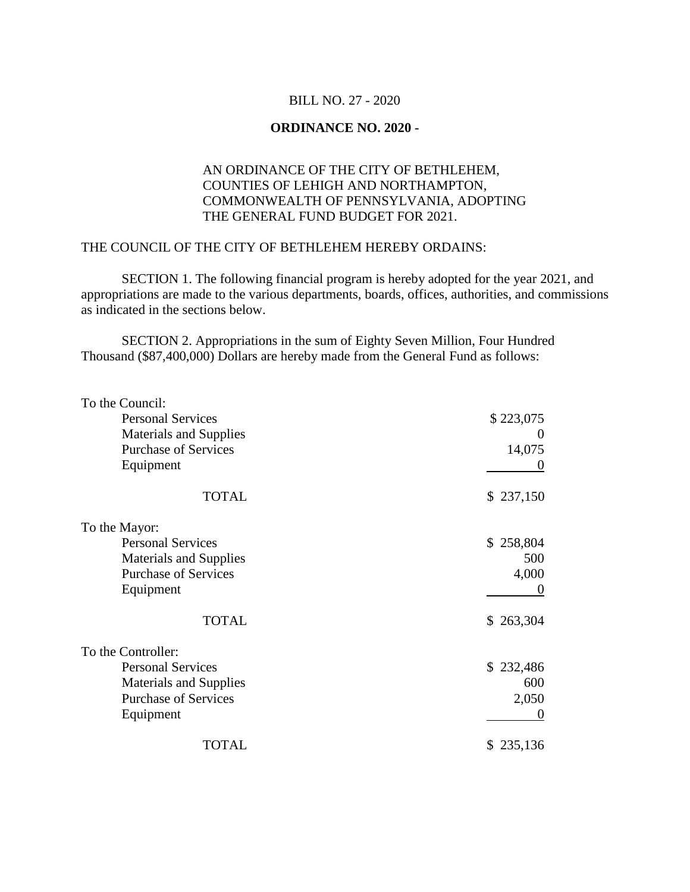## BILL NO. 27 - 2020

## **ORDINANCE NO. 2020 -**

## AN ORDINANCE OF THE CITY OF BETHLEHEM, COUNTIES OF LEHIGH AND NORTHAMPTON, COMMONWEALTH OF PENNSYLVANIA, ADOPTING THE GENERAL FUND BUDGET FOR 2021.

## THE COUNCIL OF THE CITY OF BETHLEHEM HEREBY ORDAINS:

SECTION 1. The following financial program is hereby adopted for the year 2021, and appropriations are made to the various departments, boards, offices, authorities, and commissions as indicated in the sections below.

SECTION 2. Appropriations in the sum of Eighty Seven Million, Four Hundred Thousand (\$87,400,000) Dollars are hereby made from the General Fund as follows:

| To the Council:               |           |
|-------------------------------|-----------|
| <b>Personal Services</b>      | \$223,075 |
| <b>Materials and Supplies</b> | $\theta$  |
| <b>Purchase of Services</b>   | 14,075    |
| Equipment                     |           |
| <b>TOTAL</b>                  | \$237,150 |
| To the Mayor:                 |           |
| <b>Personal Services</b>      | \$258,804 |
| <b>Materials and Supplies</b> | 500       |
| <b>Purchase of Services</b>   | 4,000     |
| Equipment                     |           |
| <b>TOTAL</b>                  | \$263,304 |
| To the Controller:            |           |
| <b>Personal Services</b>      | \$232,486 |
| <b>Materials and Supplies</b> | 600       |
| <b>Purchase of Services</b>   | 2,050     |
| Equipment                     |           |
| <b>TOTAL</b>                  | \$235,136 |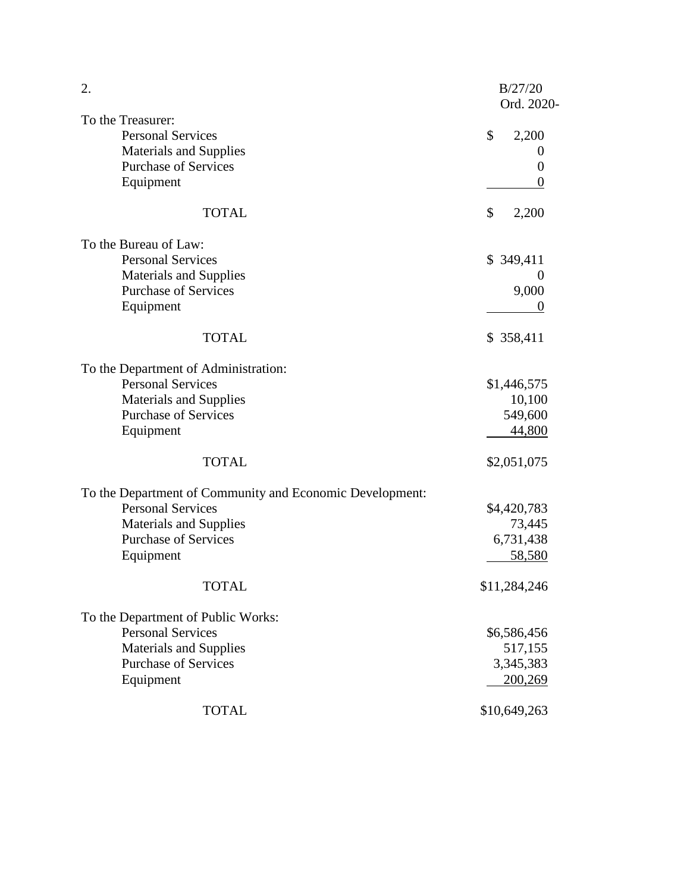| 2.                                                       | B/27/20<br>Ord. 2020- |
|----------------------------------------------------------|-----------------------|
| To the Treasurer:                                        |                       |
| <b>Personal Services</b>                                 | \$<br>2,200           |
| <b>Materials and Supplies</b>                            | $\theta$              |
| <b>Purchase of Services</b>                              | $\theta$              |
| Equipment                                                | $\theta$              |
| <b>TOTAL</b>                                             | \$<br>2,200           |
| To the Bureau of Law:                                    |                       |
| <b>Personal Services</b>                                 | \$349,411             |
| <b>Materials and Supplies</b>                            | $\theta$              |
| <b>Purchase of Services</b>                              | 9,000                 |
| Equipment                                                | $\theta$              |
| <b>TOTAL</b>                                             | \$ 358,411            |
| To the Department of Administration:                     |                       |
| <b>Personal Services</b>                                 | \$1,446,575           |
| <b>Materials and Supplies</b>                            | 10,100                |
| <b>Purchase of Services</b>                              | 549,600               |
| Equipment                                                | 44,800                |
| <b>TOTAL</b>                                             | \$2,051,075           |
| To the Department of Community and Economic Development: |                       |
| <b>Personal Services</b>                                 | \$4,420,783           |
| <b>Materials and Supplies</b>                            | 73,445                |
| <b>Purchase of Services</b>                              | 6,731,438             |
| Equipment                                                | 58,580                |
| <b>TOTAL</b>                                             | \$11,284,246          |
| To the Department of Public Works:                       |                       |
| <b>Personal Services</b>                                 | \$6,586,456           |
| <b>Materials and Supplies</b>                            | 517,155               |
| <b>Purchase of Services</b>                              | 3,345,383             |
| Equipment                                                | 200,269               |
| <b>TOTAL</b>                                             | \$10,649,263          |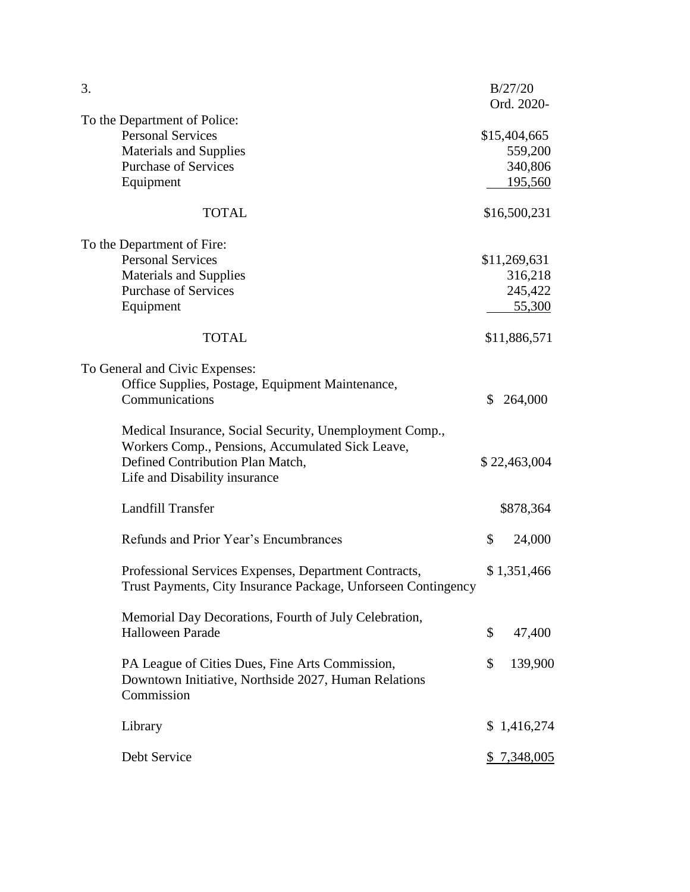| 3.                                                                                                                     |              | B/27/20<br>Ord. 2020- |
|------------------------------------------------------------------------------------------------------------------------|--------------|-----------------------|
| To the Department of Police:                                                                                           |              |                       |
| <b>Personal Services</b>                                                                                               |              | \$15,404,665          |
| <b>Materials and Supplies</b>                                                                                          |              | 559,200               |
| <b>Purchase of Services</b>                                                                                            |              | 340,806               |
| Equipment                                                                                                              |              | <u>195,560</u>        |
| <b>TOTAL</b>                                                                                                           |              | \$16,500,231          |
| To the Department of Fire:                                                                                             |              |                       |
| <b>Personal Services</b>                                                                                               |              | \$11,269,631          |
| <b>Materials and Supplies</b>                                                                                          |              | 316,218               |
| <b>Purchase of Services</b>                                                                                            |              | 245,422               |
| Equipment                                                                                                              |              | <u>55,300</u>         |
| <b>TOTAL</b>                                                                                                           |              | \$11,886,571          |
| To General and Civic Expenses:                                                                                         |              |                       |
| Office Supplies, Postage, Equipment Maintenance,                                                                       |              |                       |
| Communications                                                                                                         | $\mathbb{S}$ | 264,000               |
| Medical Insurance, Social Security, Unemployment Comp.,<br>Workers Comp., Pensions, Accumulated Sick Leave,            |              |                       |
| Defined Contribution Plan Match,                                                                                       |              | \$22,463,004          |
| Life and Disability insurance                                                                                          |              |                       |
| <b>Landfill Transfer</b>                                                                                               |              | \$878,364             |
|                                                                                                                        |              |                       |
| Refunds and Prior Year's Encumbrances                                                                                  | \$           | 24,000                |
| Professional Services Expenses, Department Contracts,<br>Trust Payments, City Insurance Package, Unforseen Contingency |              | \$1,351,466           |
| Memorial Day Decorations, Fourth of July Celebration,                                                                  |              |                       |
| <b>Halloween Parade</b>                                                                                                | \$           | 47,400                |
| PA League of Cities Dues, Fine Arts Commission,<br>Downtown Initiative, Northside 2027, Human Relations<br>Commission  | \$           | 139,900               |
| Library                                                                                                                |              | \$1,416,274           |
| Debt Service                                                                                                           |              | \$ 7,348,005          |